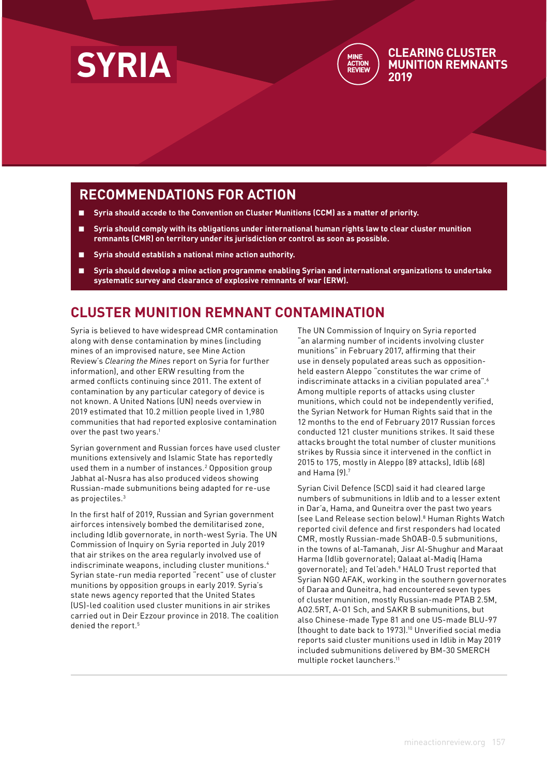



#### **CLEARING CLUSTER MUNITION REMNANTS 2019**

## **RECOMMENDATIONS FOR ACTION**

- Syria should accede to the Convention on Cluster Munitions (CCM) as a matter of priority.
- Syria should comply with its obligations under international human rights law to clear cluster munition **remnants (CMR) on territory under its jurisdiction or control as soon as possible.**
- **Syria should establish a national mine action authority.**
- **Syria should develop a mine action programme enabling Syrian and international organizations to undertake systematic survey and clearance of explosive remnants of war (ERW).**

### **CLUSTER MUNITION REMNANT CONTAMINATION**

Syria is believed to have widespread CMR contamination along with dense contamination by mines (including mines of an improvised nature, see Mine Action Review's *Clearing the Mines* report on Syria for further information), and other ERW resulting from the armed conflicts continuing since 2011. The extent of contamination by any particular category of device is not known. A United Nations (UN) needs overview in 2019 estimated that 10.2 million people lived in 1,980 communities that had reported explosive contamination over the past two years.<sup>1</sup>

Syrian government and Russian forces have used cluster munitions extensively and Islamic State has reportedly used them in a number of instances.2 Opposition group Jabhat al-Nusra has also produced videos showing Russian-made submunitions being adapted for re-use as projectiles.3

In the first half of 2019, Russian and Syrian government airforces intensively bombed the demilitarised zone, including Idlib governorate, in north-west Syria. The UN Commission of Inquiry on Syria reported in July 2019 that air strikes on the area regularly involved use of indiscriminate weapons, including cluster munitions.<sup>4</sup> Syrian state-run media reported "recent" use of cluster munitions by opposition groups in early 2019. Syria's state news agency reported that the United States (US)-led coalition used cluster munitions in air strikes carried out in Deir Ezzour province in 2018. The coalition denied the report.<sup>5</sup>

The UN Commission of Inquiry on Syria reported "an alarming number of incidents involving cluster munitions" in February 2017, affirming that their use in densely populated areas such as oppositionheld eastern Aleppo "constitutes the war crime of indiscriminate attacks in a civilian populated area".<sup>6</sup> Among multiple reports of attacks using cluster munitions, which could not be independently verified, the Syrian Network for Human Rights said that in the 12 months to the end of February 2017 Russian forces conducted 121 cluster munitions strikes. It said these attacks brought the total number of cluster munitions strikes by Russia since it intervened in the conflict in 2015 to 175, mostly in Aleppo (89 attacks), Idlib (68) and Hama (9).7

Syrian Civil Defence (SCD) said it had cleared large numbers of submunitions in Idlib and to a lesser extent in Dar'a, Hama, and Quneitra over the past two years (see Land Release section below).8 Human Rights Watch reported civil defence and first responders had located CMR, mostly Russian-made ShOAB-0.5 submunitions, in the towns of al-Tamanah, Jisr Al-Shughur and Maraat Harma (Idlib governorate); Qalaat al-Madiq (Hama governorate); and Tel'adeh.9 HALO Trust reported that Syrian NGO AFAK, working in the southern governorates of Daraa and Quneitra, had encountered seven types of cluster munition, mostly Russian-made PTAB 2.5M, AO2.5RT, A-O1 Sch, and SAKR B submunitions, but also Chinese-made Type 81 and one US-made BLU-97 (thought to date back to 1973).10 Unverified social media reports said cluster munitions used in Idlib in May 2019 included submunitions delivered by BM-30 SMERCH multiple rocket launchers.11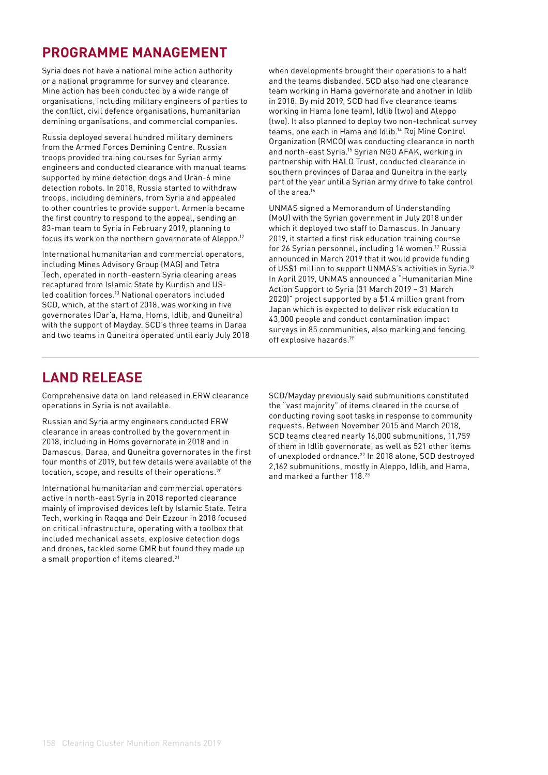# **PROGRAMME MANAGEMENT**

Syria does not have a national mine action authority or a national programme for survey and clearance. Mine action has been conducted by a wide range of organisations, including military engineers of parties to the conflict, civil defence organisations, humanitarian demining organisations, and commercial companies.

Russia deployed several hundred military deminers from the Armed Forces Demining Centre. Russian troops provided training courses for Syrian army engineers and conducted clearance with manual teams supported by mine detection dogs and Uran-6 mine detection robots. In 2018, Russia started to withdraw troops, including deminers, from Syria and appealed to other countries to provide support. Armenia became the first country to respond to the appeal, sending an 83-man team to Syria in February 2019, planning to focus its work on the northern governorate of Aleppo.<sup>12</sup>

International humanitarian and commercial operators, including Mines Advisory Group (MAG) and Tetra Tech, operated in north-eastern Syria clearing areas recaptured from Islamic State by Kurdish and USled coalition forces.<sup>13</sup> National operators included SCD, which, at the start of 2018, was working in five governorates (Dar'a, Hama, Homs, Idlib, and Quneitra) with the support of Mayday. SCD's three teams in Daraa and two teams in Quneitra operated until early July 2018 when developments brought their operations to a halt and the teams disbanded. SCD also had one clearance team working in Hama governorate and another in Idlib in 2018. By mid 2019, SCD had five clearance teams working in Hama (one team), Idlib (two) and Aleppo (two). It also planned to deploy two non-technical survey teams, one each in Hama and Idlib.14 Roj Mine Control Organization (RMCO) was conducting clearance in north and north-east Syria.<sup>15</sup> Syrian NGO AFAK, working in partnership with HALO Trust, conducted clearance in southern provinces of Daraa and Quneitra in the early part of the year until a Syrian army drive to take control of the area.<sup>16</sup>

UNMAS signed a Memorandum of Understanding (MoU) with the Syrian government in July 2018 under which it deployed two staff to Damascus. In January 2019, it started a first risk education training course for 26 Syrian personnel, including 16 women.17 Russia announced in March 2019 that it would provide funding of US\$1 million to support UNMAS's activities in Syria.18 In April 2019, UNMAS announced a "Humanitarian Mine Action Support to Syria (31 March 2019 – 31 March 2020)" project supported by a \$1.4 million grant from Japan which is expected to deliver risk education to 43,000 people and conduct contamination impact surveys in 85 communities, also marking and fencing off explosive hazards.19

## **LAND RELEASE**

Comprehensive data on land released in ERW clearance operations in Syria is not available.

Russian and Syria army engineers conducted ERW clearance in areas controlled by the government in 2018, including in Homs governorate in 2018 and in Damascus, Daraa, and Quneitra governorates in the first four months of 2019, but few details were available of the location, scope, and results of their operations.<sup>20</sup>

International humanitarian and commercial operators active in north-east Syria in 2018 reported clearance mainly of improvised devices left by Islamic State. Tetra Tech, working in Raqqa and Deir Ezzour in 2018 focused on critical infrastructure, operating with a toolbox that included mechanical assets, explosive detection dogs and drones, tackled some CMR but found they made up a small proportion of items cleared.<sup>21</sup>

SCD/Mayday previously said submunitions constituted the "vast majority" of items cleared in the course of conducting roving spot tasks in response to community requests. Between November 2015 and March 2018, SCD teams cleared nearly 16,000 submunitions, 11,759 of them in Idlib governorate, as well as 521 other items of unexploded ordnance.22 In 2018 alone, SCD destroyed 2,162 submunitions, mostly in Aleppo, Idlib, and Hama, and marked a further 118.23